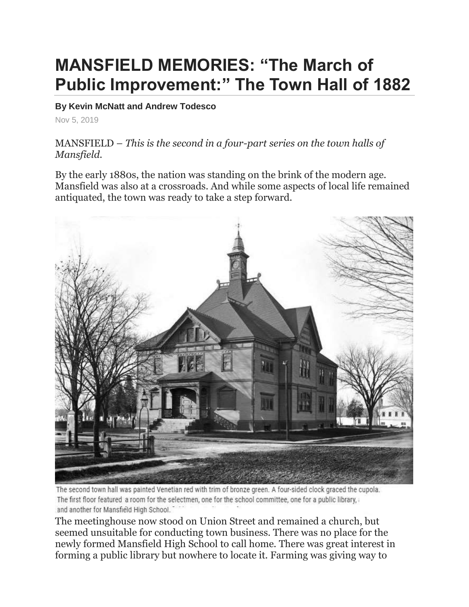## **MANSFIELD MEMORIES: "The March of Public Improvement:" The Town Hall of 1882**

## **By Kevin McNatt and Andrew Todesco**

Nov 5, 2019

MANSFIELD – *This is the second in a four-part series on the town halls of Mansfield.*

By the early 1880s, the nation was standing on the brink of the modern age. Mansfield was also at a crossroads. And while some aspects of local life remained antiquated, the town was ready to take a step forward.



The second town hall was painted Venetian red with trim of bronze green. A four-sided clock graced the cupola. The first floor featured a room for the selectmen, one for the school committee, one for a public library, and another for Mansfield High School.

The meetinghouse now stood on Union Street and remained a church, but seemed unsuitable for conducting town business. There was no place for the newly formed Mansfield High School to call home. There was great interest in forming a public library but nowhere to locate it. Farming was giving way to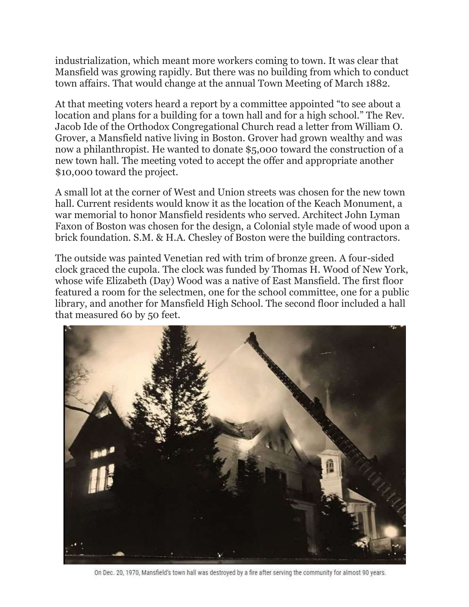industrialization, which meant more workers coming to town. It was clear that Mansfield was growing rapidly. But there was no building from which to conduct town affairs. That would change at the annual Town Meeting of March 1882.

At that meeting voters heard a report by a committee appointed "to see about a location and plans for a building for a town hall and for a high school." The Rev. Jacob Ide of the Orthodox Congregational Church read a letter from William O. Grover, a Mansfield native living in Boston. Grover had grown wealthy and was now a philanthropist. He wanted to donate \$5,000 toward the construction of a new town hall. The meeting voted to accept the offer and appropriate another \$10,000 toward the project.

A small lot at the corner of West and Union streets was chosen for the new town hall. Current residents would know it as the location of the Keach Monument, a war memorial to honor Mansfield residents who served. Architect John Lyman Faxon of Boston was chosen for the design, a Colonial style made of wood upon a brick foundation. S.M. & H.A. Chesley of Boston were the building contractors.

The outside was painted Venetian red with trim of bronze green. A four-sided clock graced the cupola. The clock was funded by Thomas H. Wood of New York, whose wife Elizabeth (Day) Wood was a native of East Mansfield. The first floor featured a room for the selectmen, one for the school committee, one for a public library, and another for Mansfield High School. The second floor included a hall that measured 60 by 50 feet.



On Dec. 20, 1970, Mansfield's town hall was destroyed by a fire after serving the community for almost 90 years.